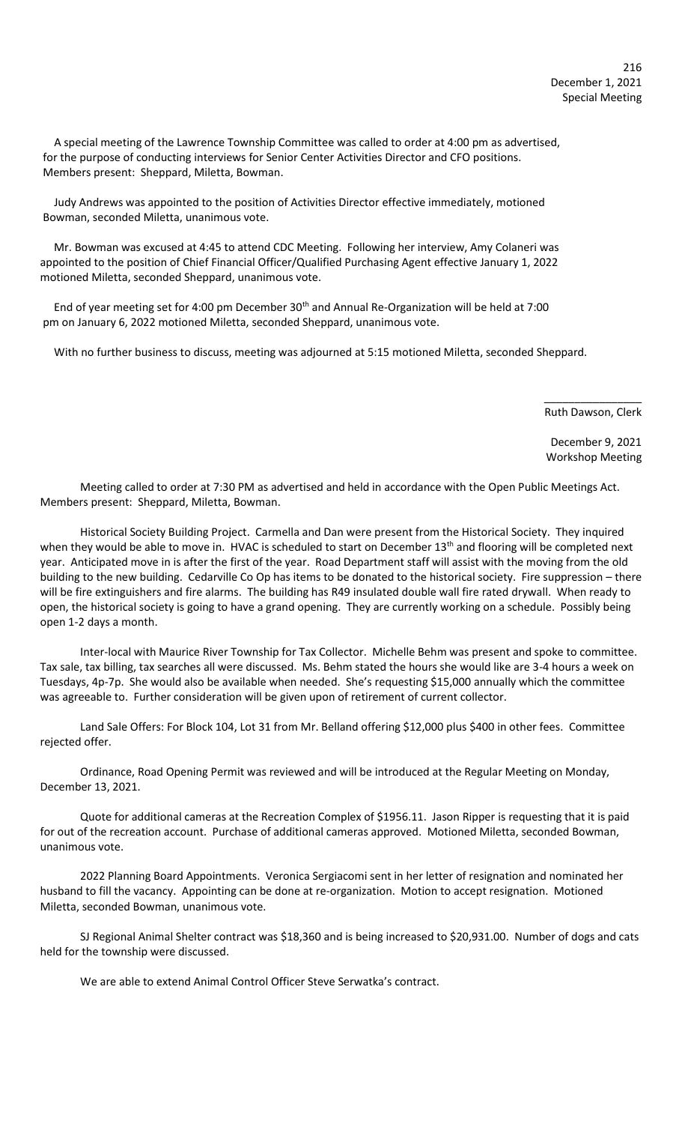A special meeting of the Lawrence Township Committee was called to order at 4:00 pm as advertised, for the purpose of conducting interviews for Senior Center Activities Director and CFO positions. Members present: Sheppard, Miletta, Bowman.

 Judy Andrews was appointed to the position of Activities Director effective immediately, motioned Bowman, seconded Miletta, unanimous vote.

 Mr. Bowman was excused at 4:45 to attend CDC Meeting. Following her interview, Amy Colaneri was appointed to the position of Chief Financial Officer/Qualified Purchasing Agent effective January 1, 2022 motioned Miletta, seconded Sheppard, unanimous vote.

End of year meeting set for 4:00 pm December 30<sup>th</sup> and Annual Re-Organization will be held at 7:00 pm on January 6, 2022 motioned Miletta, seconded Sheppard, unanimous vote.

With no further business to discuss, meeting was adjourned at 5:15 motioned Miletta, seconded Sheppard.

 $\overline{\phantom{a}}$  , and the contract of the contract of the contract of the contract of the contract of the contract of the contract of the contract of the contract of the contract of the contract of the contract of the contrac

Ruth Dawson, Clerk

 December 9, 2021 Workshop Meeting

Meeting called to order at 7:30 PM as advertised and held in accordance with the Open Public Meetings Act. Members present: Sheppard, Miletta, Bowman.

Historical Society Building Project. Carmella and Dan were present from the Historical Society. They inquired when they would be able to move in. HVAC is scheduled to start on December  $13<sup>th</sup>$  and flooring will be completed next year. Anticipated move in is after the first of the year. Road Department staff will assist with the moving from the old building to the new building. Cedarville Co Op has items to be donated to the historical society. Fire suppression – there will be fire extinguishers and fire alarms. The building has R49 insulated double wall fire rated drywall. When ready to open, the historical society is going to have a grand opening. They are currently working on a schedule. Possibly being open 1-2 days a month.

Inter-local with Maurice River Township for Tax Collector. Michelle Behm was present and spoke to committee. Tax sale, tax billing, tax searches all were discussed. Ms. Behm stated the hours she would like are 3-4 hours a week on Tuesdays, 4p-7p. She would also be available when needed. She's requesting \$15,000 annually which the committee was agreeable to. Further consideration will be given upon of retirement of current collector.

Land Sale Offers: For Block 104, Lot 31 from Mr. Belland offering \$12,000 plus \$400 in other fees. Committee rejected offer.

Ordinance, Road Opening Permit was reviewed and will be introduced at the Regular Meeting on Monday, December 13, 2021.

Quote for additional cameras at the Recreation Complex of \$1956.11. Jason Ripper is requesting that it is paid for out of the recreation account. Purchase of additional cameras approved. Motioned Miletta, seconded Bowman, unanimous vote.

2022 Planning Board Appointments. Veronica Sergiacomi sent in her letter of resignation and nominated her husband to fill the vacancy. Appointing can be done at re-organization. Motion to accept resignation. Motioned Miletta, seconded Bowman, unanimous vote.

SJ Regional Animal Shelter contract was \$18,360 and is being increased to \$20,931.00. Number of dogs and cats held for the township were discussed.

We are able to extend Animal Control Officer Steve Serwatka's contract.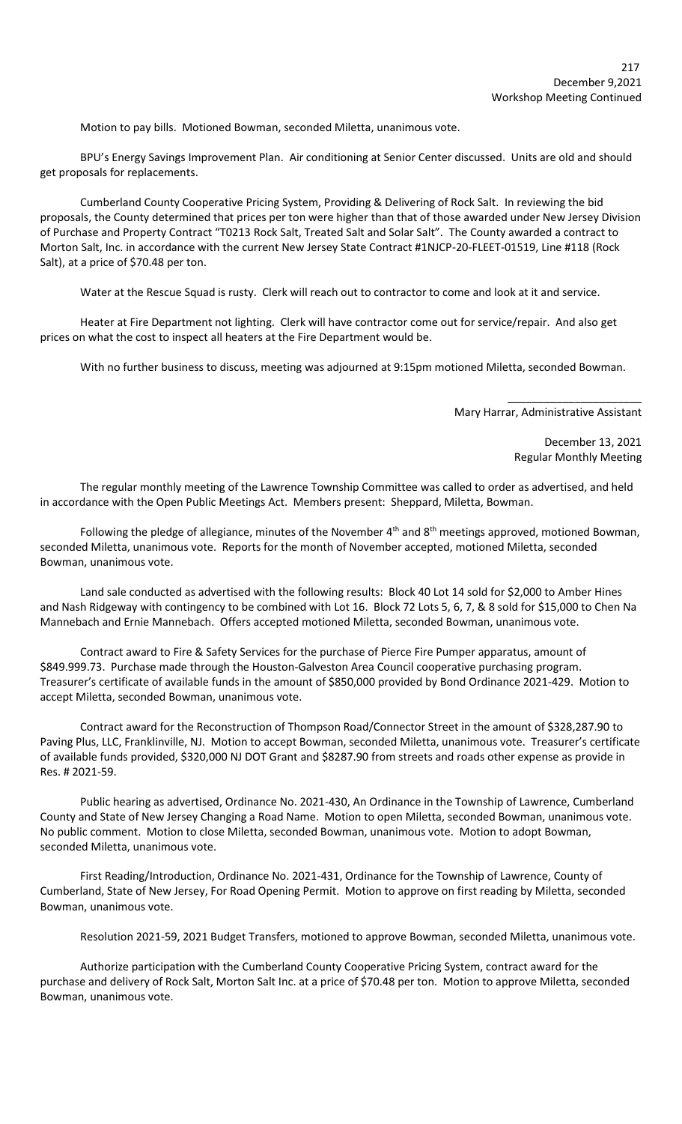Motion to pay bills. Motioned Bowman, seconded Miletta, unanimous vote.

BPU's Energy Savings Improvement Plan. Air conditioning at Senior Center discussed. Units are old and should get proposals for replacements.

Cumberland County Cooperative Pricing System, Providing & Delivering of Rock Salt. In reviewing the bid proposals, the County determined that prices per ton were higher than that of those awarded under New Jersey Division of Purchase and Property Contract "T0213 Rock Salt, Treated Salt and Solar Salt". The County awarded a contract to Morton Salt, Inc. in accordance with the current New Jersey State Contract #1NJCP-20-FLEET-01519, Line #118 (Rock Salt), at a price of \$70.48 per ton.

Water at the Rescue Squad is rusty. Clerk will reach out to contractor to come and look at it and service.

Heater at Fire Department not lighting. Clerk will have contractor come out for service/repair. And also get prices on what the cost to inspect all heaters at the Fire Department would be.

With no further business to discuss, meeting was adjourned at 9:15pm motioned Miletta, seconded Bowman.

Mary Harrar, Administrative Assistant

 $\frac{1}{2}$  , and the set of the set of the set of the set of the set of the set of the set of the set of the set of the set of the set of the set of the set of the set of the set of the set of the set of the set of the set

December 13, 2021 Regular Monthly Meeting

The regular monthly meeting of the Lawrence Township Committee was called to order as advertised, and held in accordance with the Open Public Meetings Act. Members present: Sheppard, Miletta, Bowman.

Following the pledge of allegiance, minutes of the November  $4<sup>th</sup>$  and  $8<sup>th</sup>$  meetings approved, motioned Bowman, seconded Miletta, unanimous vote. Reports for the month of November accepted, motioned Miletta, seconded Bowman, unanimous vote.

Land sale conducted as advertised with the following results: Block 40 Lot 14 sold for \$2,000 to Amber Hines and Nash Ridgeway with contingency to be combined with Lot 16. Block 72 Lots 5, 6, 7, & 8 sold for \$15,000 to Chen Na Mannebach and Ernie Mannebach. Offers accepted motioned Miletta, seconded Bowman, unanimous vote.

Contract award to Fire & Safety Services for the purchase of Pierce Fire Pumper apparatus, amount of \$849.999.73. Purchase made through the Houston-Galveston Area Council cooperative purchasing program. Treasurer's certificate of available funds in the amount of \$850,000 provided by Bond Ordinance 2021-429. Motion to accept Miletta, seconded Bowman, unanimous vote.

Contract award for the Reconstruction of Thompson Road/Connector Street in the amount of \$328,287.90 to Paving Plus, LLC, Franklinville, NJ. Motion to accept Bowman, seconded Miletta, unanimous vote. Treasurer's certificate of available funds provided, \$320,000 NJ DOT Grant and \$8287.90 from streets and roads other expense as provide in Res. # 2021-59.

Public hearing as advertised, Ordinance No. 2021-430, An Ordinance in the Township of Lawrence, Cumberland County and State of New Jersey Changing a Road Name. Motion to open Miletta, seconded Bowman, unanimous vote. No public comment. Motion to close Miletta, seconded Bowman, unanimous vote. Motion to adopt Bowman, seconded Miletta, unanimous vote.

First Reading/Introduction, Ordinance No. 2021-431, Ordinance for the Township of Lawrence, County of Cumberland, State of New Jersey, For Road Opening Permit. Motion to approve on first reading by Miletta, seconded Bowman, unanimous vote.

Resolution 2021-59, 2021 Budget Transfers, motioned to approve Bowman, seconded Miletta, unanimous vote.

Authorize participation with the Cumberland County Cooperative Pricing System, contract award for the purchase and delivery of Rock Salt, Morton Salt Inc. at a price of \$70.48 per ton. Motion to approve Miletta, seconded Bowman, unanimous vote.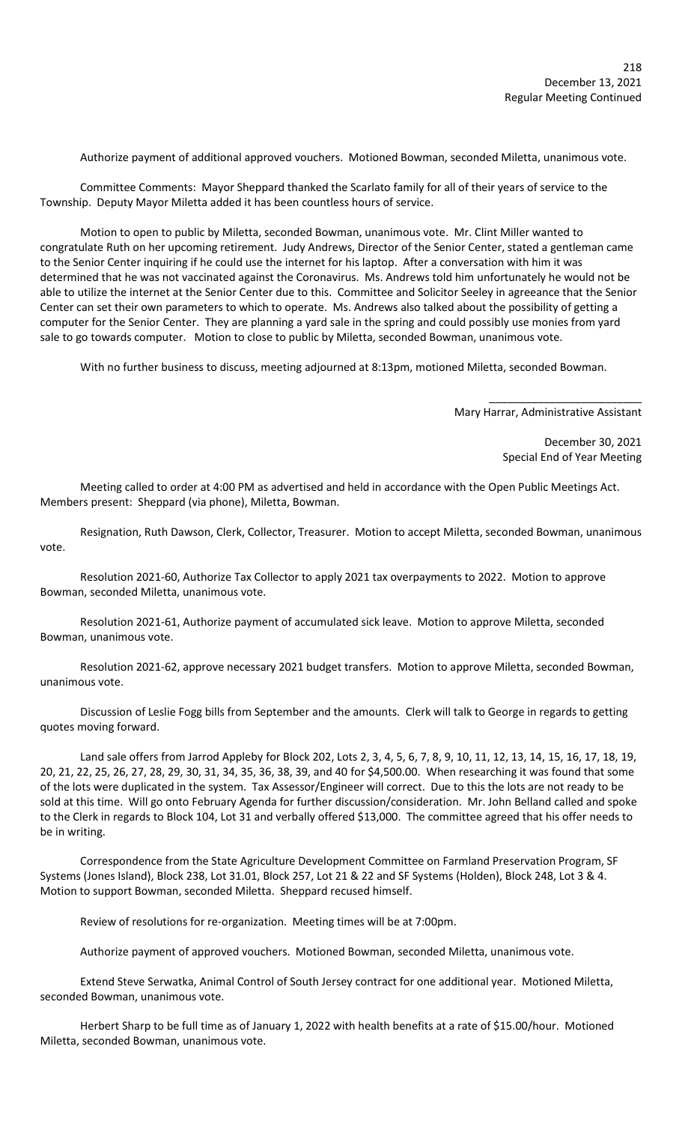Authorize payment of additional approved vouchers. Motioned Bowman, seconded Miletta, unanimous vote.

Committee Comments: Mayor Sheppard thanked the Scarlato family for all of their years of service to the Township. Deputy Mayor Miletta added it has been countless hours of service.

Motion to open to public by Miletta, seconded Bowman, unanimous vote. Mr. Clint Miller wanted to congratulate Ruth on her upcoming retirement. Judy Andrews, Director of the Senior Center, stated a gentleman came to the Senior Center inquiring if he could use the internet for his laptop. After a conversation with him it was determined that he was not vaccinated against the Coronavirus. Ms. Andrews told him unfortunately he would not be able to utilize the internet at the Senior Center due to this. Committee and Solicitor Seeley in agreeance that the Senior Center can set their own parameters to which to operate. Ms. Andrews also talked about the possibility of getting a computer for the Senior Center. They are planning a yard sale in the spring and could possibly use monies from yard sale to go towards computer. Motion to close to public by Miletta, seconded Bowman, unanimous vote.

With no further business to discuss, meeting adjourned at 8:13pm, motioned Miletta, seconded Bowman.

 \_\_\_\_\_\_\_\_\_\_\_\_\_\_\_\_\_\_\_\_\_\_\_\_\_ Mary Harrar, Administrative Assistant

> December 30, 2021 Special End of Year Meeting

Meeting called to order at 4:00 PM as advertised and held in accordance with the Open Public Meetings Act. Members present: Sheppard (via phone), Miletta, Bowman.

Resignation, Ruth Dawson, Clerk, Collector, Treasurer. Motion to accept Miletta, seconded Bowman, unanimous vote.

Resolution 2021-60, Authorize Tax Collector to apply 2021 tax overpayments to 2022. Motion to approve Bowman, seconded Miletta, unanimous vote.

Resolution 2021-61, Authorize payment of accumulated sick leave. Motion to approve Miletta, seconded Bowman, unanimous vote.

Resolution 2021-62, approve necessary 2021 budget transfers. Motion to approve Miletta, seconded Bowman, unanimous vote.

Discussion of Leslie Fogg bills from September and the amounts. Clerk will talk to George in regards to getting quotes moving forward.

Land sale offers from Jarrod Appleby for Block 202, Lots 2, 3, 4, 5, 6, 7, 8, 9, 10, 11, 12, 13, 14, 15, 16, 17, 18, 19, 20, 21, 22, 25, 26, 27, 28, 29, 30, 31, 34, 35, 36, 38, 39, and 40 for \$4,500.00. When researching it was found that some of the lots were duplicated in the system. Tax Assessor/Engineer will correct. Due to this the lots are not ready to be sold at this time. Will go onto February Agenda for further discussion/consideration. Mr. John Belland called and spoke to the Clerk in regards to Block 104, Lot 31 and verbally offered \$13,000. The committee agreed that his offer needs to be in writing.

Correspondence from the State Agriculture Development Committee on Farmland Preservation Program, SF Systems (Jones Island), Block 238, Lot 31.01, Block 257, Lot 21 & 22 and SF Systems (Holden), Block 248, Lot 3 & 4. Motion to support Bowman, seconded Miletta. Sheppard recused himself.

Review of resolutions for re-organization. Meeting times will be at 7:00pm.

Authorize payment of approved vouchers. Motioned Bowman, seconded Miletta, unanimous vote.

Extend Steve Serwatka, Animal Control of South Jersey contract for one additional year. Motioned Miletta, seconded Bowman, unanimous vote.

Herbert Sharp to be full time as of January 1, 2022 with health benefits at a rate of \$15.00/hour. Motioned Miletta, seconded Bowman, unanimous vote.